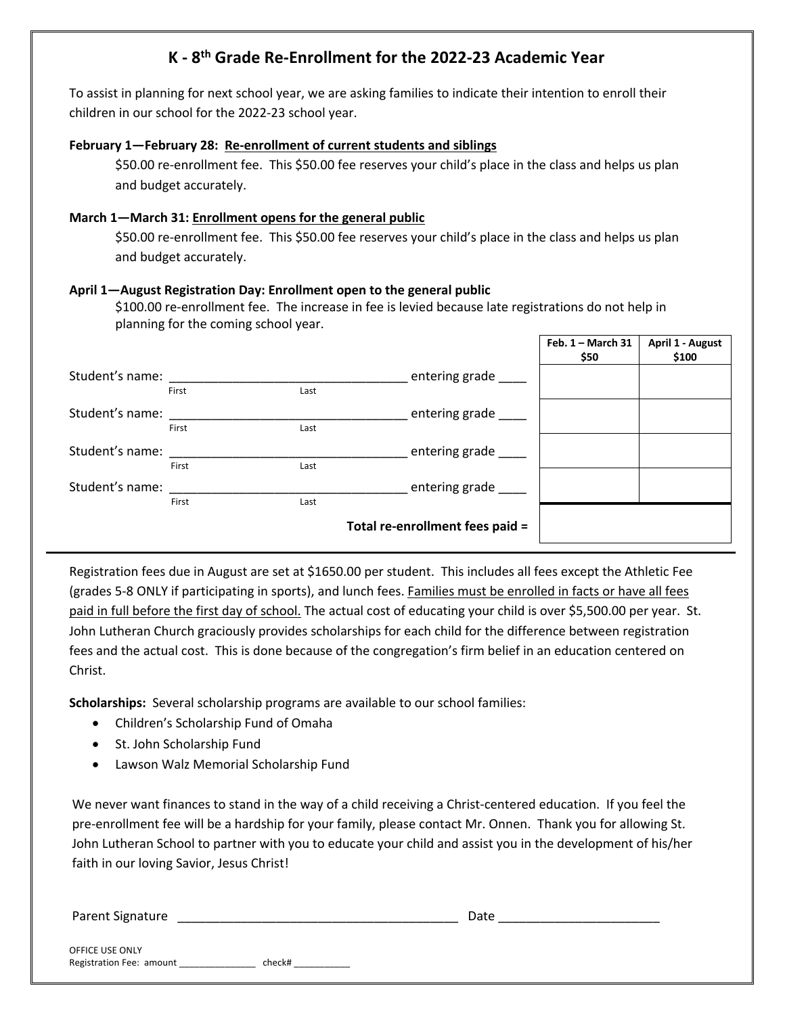### **K - 8th Grade Re-Enrollment for the 2022-23 Academic Year**

To assist in planning for next school year, we are asking families to indicate their intention to enroll their children in our school for the 2022-23 school year.

#### **February 1—February 28: Re-enrollment of current students and siblings**

\$50.00 re-enrollment fee. This \$50.00 fee reserves your child's place in the class and helps us plan and budget accurately.

#### **March 1—March 31: Enrollment opens for the general public**

\$50.00 re-enrollment fee. This \$50.00 fee reserves your child's place in the class and helps us plan and budget accurately.

#### **April 1—August Registration Day: Enrollment open to the general public**

\$100.00 re-enrollment fee. The increase in fee is levied because late registrations do not help in planning for the coming school year.

|                 |       |                    |                                 | Feb. $1 -$ March 31<br>\$50 | April 1 - August<br>\$100 |
|-----------------|-------|--------------------|---------------------------------|-----------------------------|---------------------------|
| Student's name: |       | entering grade ___ |                                 |                             |                           |
|                 | First | Last               |                                 |                             |                           |
| Student's name: |       |                    | entering grade                  |                             |                           |
|                 | First | Last               |                                 |                             |                           |
| Student's name: |       |                    | entering grade                  |                             |                           |
|                 | First | Last               |                                 |                             |                           |
| Student's name: |       |                    | entering grade                  |                             |                           |
|                 | First | Last               |                                 |                             |                           |
|                 |       |                    | Total re-enrollment fees paid = |                             |                           |

Registration fees due in August are set at \$1650.00 per student. This includes all fees except the Athletic Fee (grades 5-8 ONLY if participating in sports), and lunch fees. Families must be enrolled in facts or have all fees paid in full before the first day of school. The actual cost of educating your child is over \$5,500.00 per year. St. John Lutheran Church graciously provides scholarships for each child for the difference between registration fees and the actual cost. This is done because of the congregation's firm belief in an education centered on Christ.

**Scholarships:** Several scholarship programs are available to our school families:

- Children's Scholarship Fund of Omaha
- St. John Scholarship Fund
- Lawson Walz Memorial Scholarship Fund

We never want finances to stand in the way of a child receiving a Christ-centered education. If you feel the pre-enrollment fee will be a hardship for your family, please contact Mr. Onnen. Thank you for allowing St. John Lutheran School to partner with you to educate your child and assist you in the development of his/her faith in our loving Savior, Jesus Christ!

Parent Signature \_\_\_\_\_\_\_\_\_\_\_\_\_\_\_\_\_\_\_\_\_\_\_\_\_\_\_\_\_\_\_\_\_\_\_\_\_\_\_\_ Date \_\_\_\_\_\_\_\_\_\_\_\_\_\_\_\_\_\_\_\_\_\_\_

OFFICE USE ONLY Registration Fee: amount \_\_\_\_\_\_\_\_\_\_\_\_\_\_\_\_\_\_\_ check# \_\_\_\_